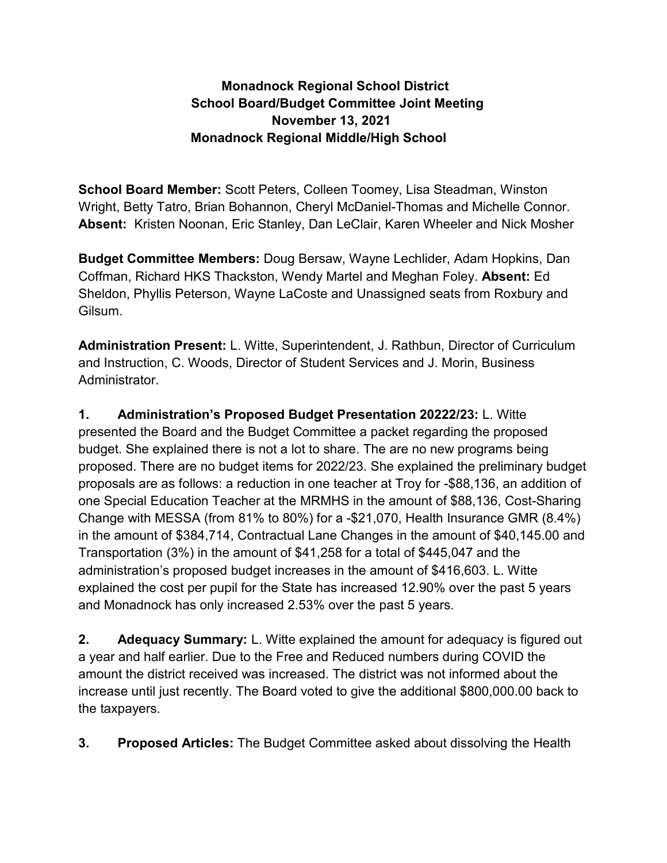## **Monadnock Regional School District School Board/Budget Committee Joint Meeting November 13, 2021 Monadnock Regional Middle/High School**

**School Board Member:** Scott Peters, Colleen Toomey, Lisa Steadman, Winston Wright, Betty Tatro, Brian Bohannon, Cheryl McDaniel-Thomas and Michelle Connor. **Absent:** Kristen Noonan, Eric Stanley, Dan LeClair, Karen Wheeler and Nick Mosher

**Budget Committee Members:** Doug Bersaw, Wayne Lechlider, Adam Hopkins, Dan Coffman, Richard HKS Thackston, Wendy Martel and Meghan Foley. **Absent:** Ed Sheldon, Phyllis Peterson, Wayne LaCoste and Unassigned seats from Roxbury and Gilsum.

**Administration Present:** L. Witte, Superintendent, J. Rathbun, Director of Curriculum and Instruction, C. Woods, Director of Student Services and J. Morin, Business Administrator.

**1. Administration's Proposed Budget Presentation 20222/23:** L. Witte presented the Board and the Budget Committee a packet regarding the proposed budget. She explained there is not a lot to share. The are no new programs being proposed. There are no budget items for 2022/23. She explained the preliminary budget proposals are as follows: a reduction in one teacher at Troy for -\$88,136, an addition of one Special Education Teacher at the MRMHS in the amount of \$88,136, Cost-Sharing Change with MESSA (from 81% to 80%) for a -\$21,070, Health Insurance GMR (8.4%) in the amount of \$384,714, Contractual Lane Changes in the amount of \$40,145.00 and Transportation (3%) in the amount of \$41,258 for a total of \$445,047 and the administration's proposed budget increases in the amount of \$416,603. L. Witte explained the cost per pupil for the State has increased 12.90% over the past 5 years and Monadnock has only increased 2.53% over the past 5 years.

**2. Adequacy Summary:** L. Witte explained the amount for adequacy is figured out a year and half earlier. Due to the Free and Reduced numbers during COVID the amount the district received was increased. The district was not informed about the increase until just recently. The Board voted to give the additional \$800,000.00 back to the taxpayers.

**3. Proposed Articles:** The Budget Committee asked about dissolving the Health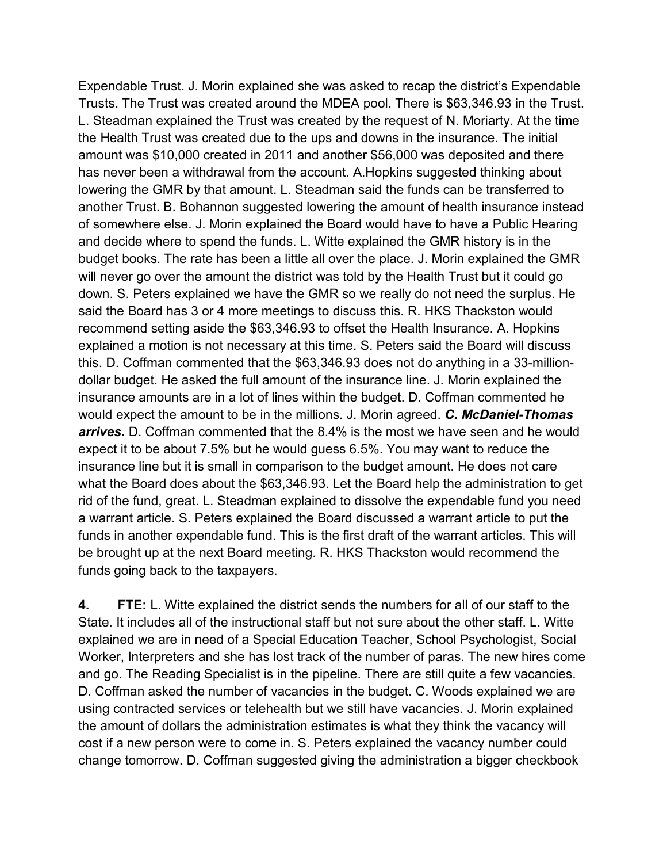Expendable Trust. J. Morin explained she was asked to recap the district's Expendable Trusts. The Trust was created around the MDEA pool. There is \$63,346.93 in the Trust. L. Steadman explained the Trust was created by the request of N. Moriarty. At the time the Health Trust was created due to the ups and downs in the insurance. The initial amount was \$10,000 created in 2011 and another \$56,000 was deposited and there has never been a withdrawal from the account. A.Hopkins suggested thinking about lowering the GMR by that amount. L. Steadman said the funds can be transferred to another Trust. B. Bohannon suggested lowering the amount of health insurance instead of somewhere else. J. Morin explained the Board would have to have a Public Hearing and decide where to spend the funds. L. Witte explained the GMR history is in the budget books. The rate has been a little all over the place. J. Morin explained the GMR will never go over the amount the district was told by the Health Trust but it could go down. S. Peters explained we have the GMR so we really do not need the surplus. He said the Board has 3 or 4 more meetings to discuss this. R. HKS Thackston would recommend setting aside the \$63,346.93 to offset the Health Insurance. A. Hopkins explained a motion is not necessary at this time. S. Peters said the Board will discuss this. D. Coffman commented that the \$63,346.93 does not do anything in a 33-milliondollar budget. He asked the full amount of the insurance line. J. Morin explained the insurance amounts are in a lot of lines within the budget. D. Coffman commented he would expect the amount to be in the millions. J. Morin agreed. *C. McDaniel-Thomas arrives.* D. Coffman commented that the 8.4% is the most we have seen and he would expect it to be about 7.5% but he would guess 6.5%. You may want to reduce the insurance line but it is small in comparison to the budget amount. He does not care what the Board does about the \$63,346.93. Let the Board help the administration to get rid of the fund, great. L. Steadman explained to dissolve the expendable fund you need a warrant article. S. Peters explained the Board discussed a warrant article to put the funds in another expendable fund. This is the first draft of the warrant articles. This will be brought up at the next Board meeting. R. HKS Thackston would recommend the funds going back to the taxpayers.

**4. FTE:** L. Witte explained the district sends the numbers for all of our staff to the State. It includes all of the instructional staff but not sure about the other staff. L. Witte explained we are in need of a Special Education Teacher, School Psychologist, Social Worker, Interpreters and she has lost track of the number of paras. The new hires come and go. The Reading Specialist is in the pipeline. There are still quite a few vacancies. D. Coffman asked the number of vacancies in the budget. C. Woods explained we are using contracted services or telehealth but we still have vacancies. J. Morin explained the amount of dollars the administration estimates is what they think the vacancy will cost if a new person were to come in. S. Peters explained the vacancy number could change tomorrow. D. Coffman suggested giving the administration a bigger checkbook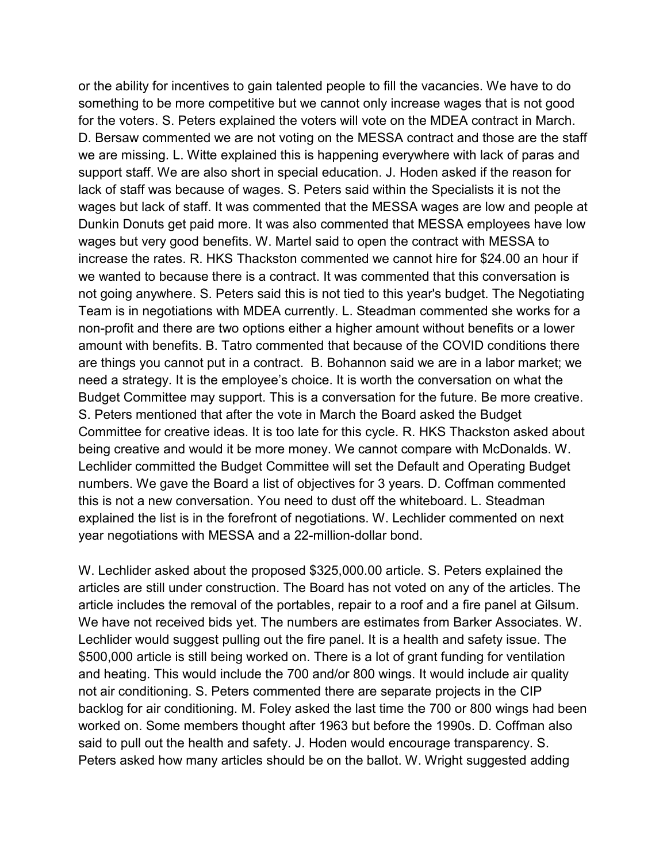or the ability for incentives to gain talented people to fill the vacancies. We have to do something to be more competitive but we cannot only increase wages that is not good for the voters. S. Peters explained the voters will vote on the MDEA contract in March. D. Bersaw commented we are not voting on the MESSA contract and those are the staff we are missing. L. Witte explained this is happening everywhere with lack of paras and support staff. We are also short in special education. J. Hoden asked if the reason for lack of staff was because of wages. S. Peters said within the Specialists it is not the wages but lack of staff. It was commented that the MESSA wages are low and people at Dunkin Donuts get paid more. It was also commented that MESSA employees have low wages but very good benefits. W. Martel said to open the contract with MESSA to increase the rates. R. HKS Thackston commented we cannot hire for \$24.00 an hour if we wanted to because there is a contract. It was commented that this conversation is not going anywhere. S. Peters said this is not tied to this year's budget. The Negotiating Team is in negotiations with MDEA currently. L. Steadman commented she works for a non-profit and there are two options either a higher amount without benefits or a lower amount with benefits. B. Tatro commented that because of the COVID conditions there are things you cannot put in a contract. B. Bohannon said we are in a labor market; we need a strategy. It is the employee's choice. It is worth the conversation on what the Budget Committee may support. This is a conversation for the future. Be more creative. S. Peters mentioned that after the vote in March the Board asked the Budget Committee for creative ideas. It is too late for this cycle. R. HKS Thackston asked about being creative and would it be more money. We cannot compare with McDonalds. W. Lechlider committed the Budget Committee will set the Default and Operating Budget numbers. We gave the Board a list of objectives for 3 years. D. Coffman commented this is not a new conversation. You need to dust off the whiteboard. L. Steadman explained the list is in the forefront of negotiations. W. Lechlider commented on next year negotiations with MESSA and a 22-million-dollar bond.

W. Lechlider asked about the proposed \$325,000.00 article. S. Peters explained the articles are still under construction. The Board has not voted on any of the articles. The article includes the removal of the portables, repair to a roof and a fire panel at Gilsum. We have not received bids yet. The numbers are estimates from Barker Associates. W. Lechlider would suggest pulling out the fire panel. It is a health and safety issue. The \$500,000 article is still being worked on. There is a lot of grant funding for ventilation and heating. This would include the 700 and/or 800 wings. It would include air quality not air conditioning. S. Peters commented there are separate projects in the CIP backlog for air conditioning. M. Foley asked the last time the 700 or 800 wings had been worked on. Some members thought after 1963 but before the 1990s. D. Coffman also said to pull out the health and safety. J. Hoden would encourage transparency. S. Peters asked how many articles should be on the ballot. W. Wright suggested adding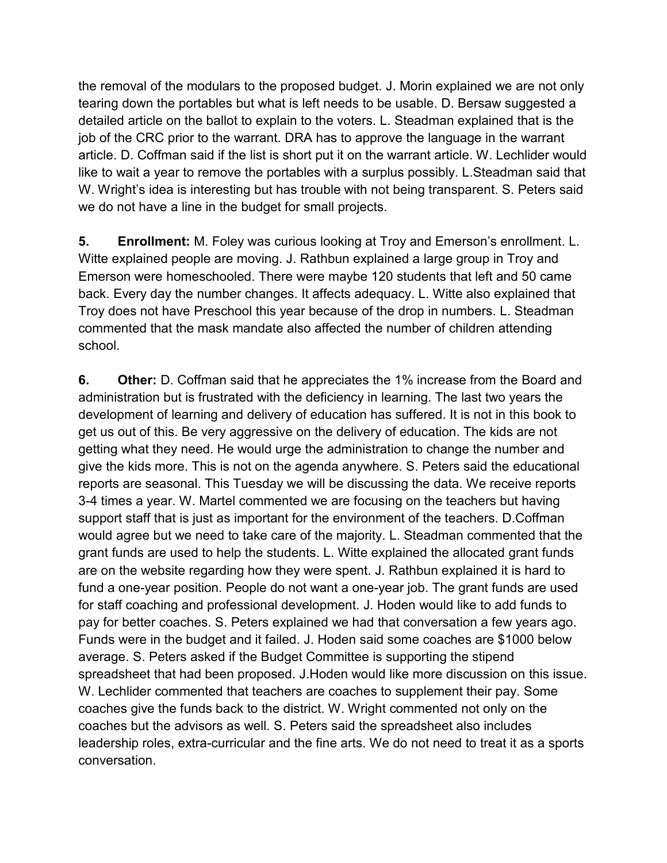the removal of the modulars to the proposed budget. J. Morin explained we are not only tearing down the portables but what is left needs to be usable. D. Bersaw suggested a detailed article on the ballot to explain to the voters. L. Steadman explained that is the job of the CRC prior to the warrant. DRA has to approve the language in the warrant article. D. Coffman said if the list is short put it on the warrant article. W. Lechlider would like to wait a year to remove the portables with a surplus possibly. L.Steadman said that W. Wright's idea is interesting but has trouble with not being transparent. S. Peters said we do not have a line in the budget for small projects.

**5. Enrollment:** M. Foley was curious looking at Troy and Emerson's enrollment. L. Witte explained people are moving. J. Rathbun explained a large group in Troy and Emerson were homeschooled. There were maybe 120 students that left and 50 came back. Every day the number changes. It affects adequacy. L. Witte also explained that Troy does not have Preschool this year because of the drop in numbers. L. Steadman commented that the mask mandate also affected the number of children attending school.

**6. Other:** D. Coffman said that he appreciates the 1% increase from the Board and administration but is frustrated with the deficiency in learning. The last two years the development of learning and delivery of education has suffered. It is not in this book to get us out of this. Be very aggressive on the delivery of education. The kids are not getting what they need. He would urge the administration to change the number and give the kids more. This is not on the agenda anywhere. S. Peters said the educational reports are seasonal. This Tuesday we will be discussing the data. We receive reports 3-4 times a year. W. Martel commented we are focusing on the teachers but having support staff that is just as important for the environment of the teachers. D.Coffman would agree but we need to take care of the majority. L. Steadman commented that the grant funds are used to help the students. L. Witte explained the allocated grant funds are on the website regarding how they were spent. J. Rathbun explained it is hard to fund a one-year position. People do not want a one-year job. The grant funds are used for staff coaching and professional development. J. Hoden would like to add funds to pay for better coaches. S. Peters explained we had that conversation a few years ago. Funds were in the budget and it failed. J. Hoden said some coaches are \$1000 below average. S. Peters asked if the Budget Committee is supporting the stipend spreadsheet that had been proposed. J.Hoden would like more discussion on this issue. W. Lechlider commented that teachers are coaches to supplement their pay. Some coaches give the funds back to the district. W. Wright commented not only on the coaches but the advisors as well. S. Peters said the spreadsheet also includes leadership roles, extra-curricular and the fine arts. We do not need to treat it as a sports conversation.